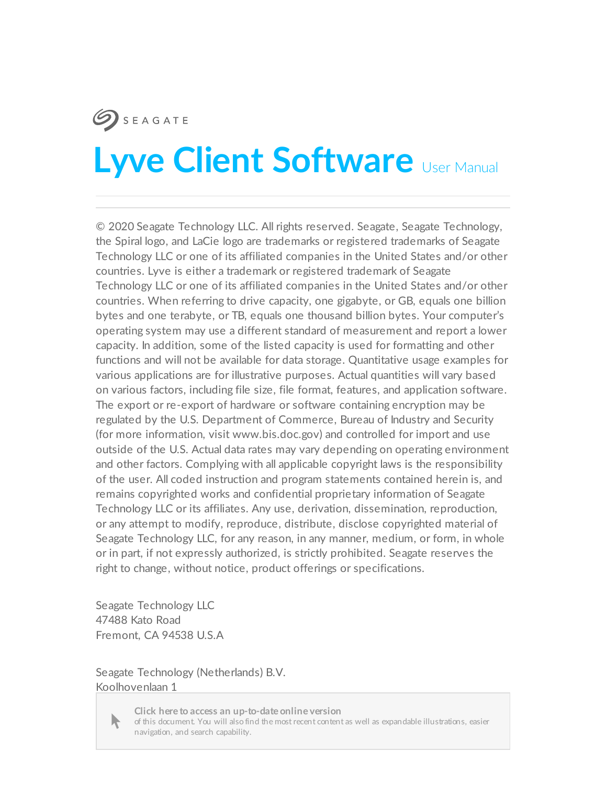### **SEAGATE**

# **Lyve Client Software** User Manual

© 2020 Seagate Technology LLC. All rights reserved. Seagate, Seagate Technology, the Spiral logo, and LaCie logo are trademarks or registered trademarks of Seagate Technology LLC or one of its affiliated companies in the United States and/or other countries. Lyve is either a trademark or registered trademark of Seagate Technology LLC or one of its affiliated companies in the United States and/or other countries. When referring to drive capacity, one gigabyte, or GB, equals one billion bytes and one terabyte, or TB, equals one thousand billion bytes. Your computer's operating system may use a different standard of measurement and report a lower capacity. In addition, some of the listed capacity is used for formatting and other functions and will not be available for data storage. Quantitative usage examples for various applications are for illustrative purposes. Actual quantities will vary based on various factors, including file size, file format, features, and application software. The export or re-export of hardware or software containing encryption may be regulated by the U.S. Department of Commerce, Bureau of Industry and Security (for more information, visit www.bis.doc.gov) and controlled for import and use outside of the U.S. Actual data rates may vary depending on operating environment and other factors. Complying with all applicable copyright laws is the responsibility of the user. All coded instruction and program statements contained herein is, and remains copyrighted works and confidential proprietary information of Seagate Technology LLC or its affiliates. Any use, derivation, dissemination, reproduction, or any attempt to modify, reproduce, distribute, disclose copyrighted material of Seagate Technology LLC, for any reason, in any manner, medium, or form, in whole or in part, if not expressly authorized, is strictly prohibited. Seagate reserves the right to change, without notice, product offerings or specifications.

Seagate Technology LLC 47488 Kato Road Fremont, CA 94538 U.S.A

Seagate Technology (Netherlands) B.V. Koolhovenlaan 1



The [Netherlands](https://www.seagate.com/manuals/software/lyve-client-software/) of this document. You will also find the most recent content as well as expandable illustrations, easier<br>navigation, and search capability. **Click here to access an up-to-date online version**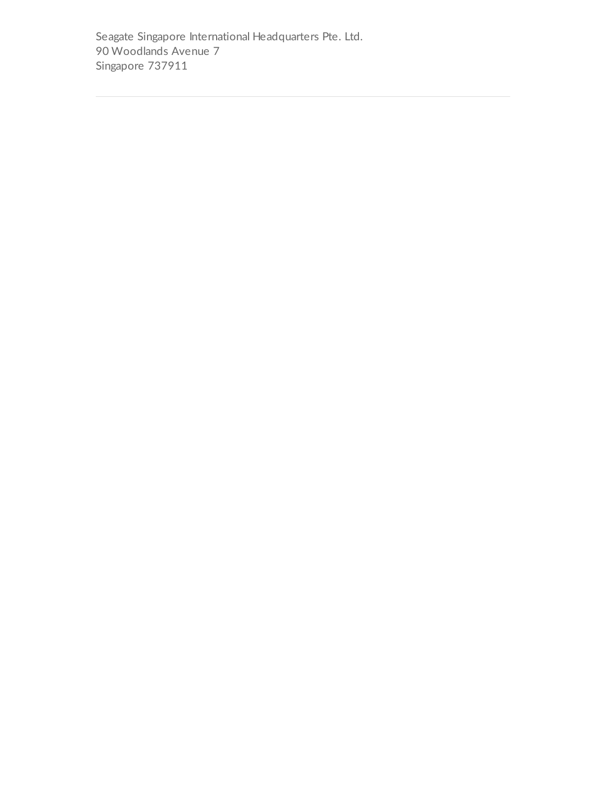Seagate Singapore International Headquarters Pte. Ltd. 90 Woodlands Avenue 7 Singapore 737911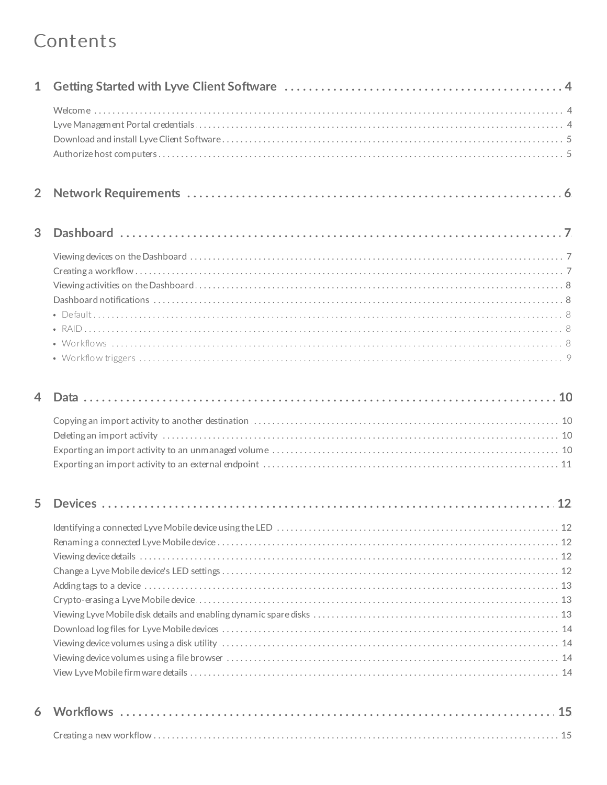#### Contents

| $\mathbf{1}$   |  |
|----------------|--|
|                |  |
| $\overline{2}$ |  |
| 3              |  |
|                |  |
|                |  |

| 5. |  |
|----|--|
|    |  |
|    |  |
|    |  |
|    |  |
|    |  |
|    |  |
|    |  |
|    |  |
|    |  |
|    |  |
|    |  |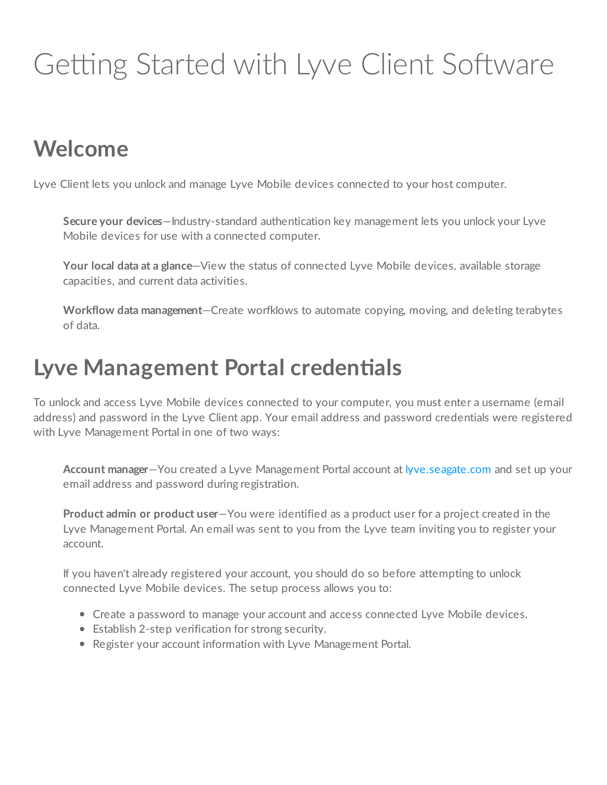# <span id="page-4-0"></span>Getting Started with Lyve Client Software

## <span id="page-4-1"></span>**Welcome**

Lyve Client lets you unlock and manage Lyve Mobile devices connected to your host computer.

**Secure your devices**—Industry-standard authentication key management lets you unlock your Lyve Mobile devices for use with a connected computer.

**Your local data at a glance**—View the status of connected Lyve Mobile devices, available storage capacities, and current data activities.

**Workflow data management**—Create worfklows to automate copying, moving, and deleting terabytes of data.

#### <span id="page-4-2"></span>**Lyve Management Portal credentials**

To unlock and access Lyve Mobile devices connected to your computer, you must enter a username (email address) and password in the Lyve Client app. Your email address and password credentials were registered with Lyve Management Portal in one of two ways:

**Account manager**—You created a Lyve Management Portal account at [lyve.seagate.com](https://lyve.seagate.com/) and set up your email address and password during registration.

**Product admin or product user**—You were identified as a product user for a project created in the Lyve Management Portal. An email was sent to you from the Lyve team inviting you to register your account.

If you haven't already registered your account, you should do so before attempting to unlock connected Lyve Mobile devices. The setup process allows you to:

- Create a password to manage your account and access connected Lyve Mobile devices.
- Establish 2-step verification for strong security.
- Register your account information with Lyve Management Portal.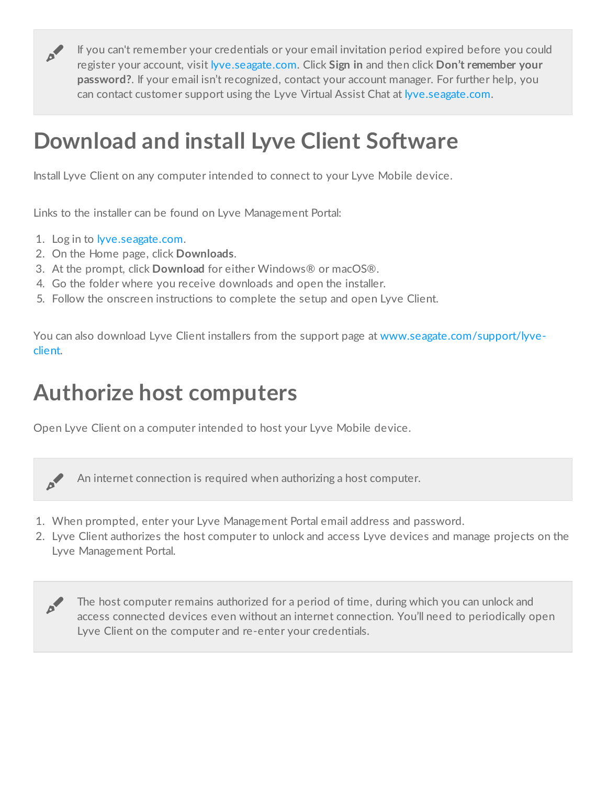If you can't remember your credentials or your email invitation period expired before you could register your account, visit [lyve.seagate.com](https://lyve.seagate.com/). Click **Sign in** and then click **Don't remember your password?**. If your email isn't recognized, contact your account manager. For further help, you can contact customer support using the Lyve Virtual Assist Chat at [lyve.seagate.com](https://lyve.seagate.com/).

## <span id="page-5-0"></span>**Download and install Lyve Client Software**

Install Lyve Client on any computer intended to connect to your Lyve Mobile device.

Links to the installer can be found on Lyve Management Portal:

- 1. Log in to [lyve.seagate.com](https://lyve.seagate.com/).
- 2. On the Home page, click **Downloads**.
- 3. At the prompt, click **Download** for either Windows® or macOS®.
- 4. Go the folder where you receive downloads and open the installer.
- 5. Follow the onscreen instructions to complete the setup and open Lyve Client.

You can also download Lyve Client installers from the support page at [www.seagate.com/support/lyve](https://www.seagate.com/support/lyve-client)client.

## <span id="page-5-1"></span>**Authorize host computers**

Open Lyve Client on a computer intended to host your Lyve Mobile device.



of

An internet connection is required when authorizing a host computer.

- 1. When prompted, enter your Lyve Management Portal email address and password.
- 2. Lyve Client authorizes the host computer to unlock and access Lyve devices and manage projects on the Lyve Management Portal.



The host computer remains authorized for a period of time, during which you can unlock and access connected devices even without an internet connection. You'll need to periodically open Lyve Client on the computer and re-enter your credentials.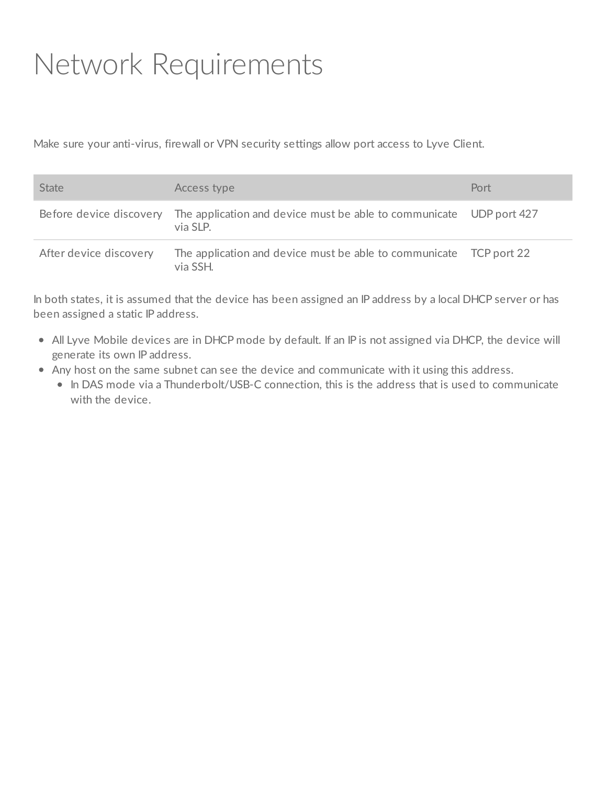## <span id="page-6-0"></span>Network Requirements

Make sure your anti-virus, firewall or VPN security settings allow port access to Lyve Client.

| <b>State</b>           | Access type                                                                                             | Port |
|------------------------|---------------------------------------------------------------------------------------------------------|------|
|                        | Before device discovery The application and device must be able to communicate UDP port 427<br>via SLP. |      |
| After device discovery | The application and device must be able to communicate TCP port 22<br>via SSH.                          |      |

In both states, it is assumed that the device has been assigned an IP address by a local DHCP server or has been assigned a static IP address.

- All Lyve Mobile devices are in DHCP mode by default. If an IP is not assigned via DHCP, the device will generate its own IP address.
- Any host on the same subnet can see the device and communicate with it using this address.
	- In DAS mode via a Thunderbolt/USB-C connection, this is the address that is used to communicate with the device.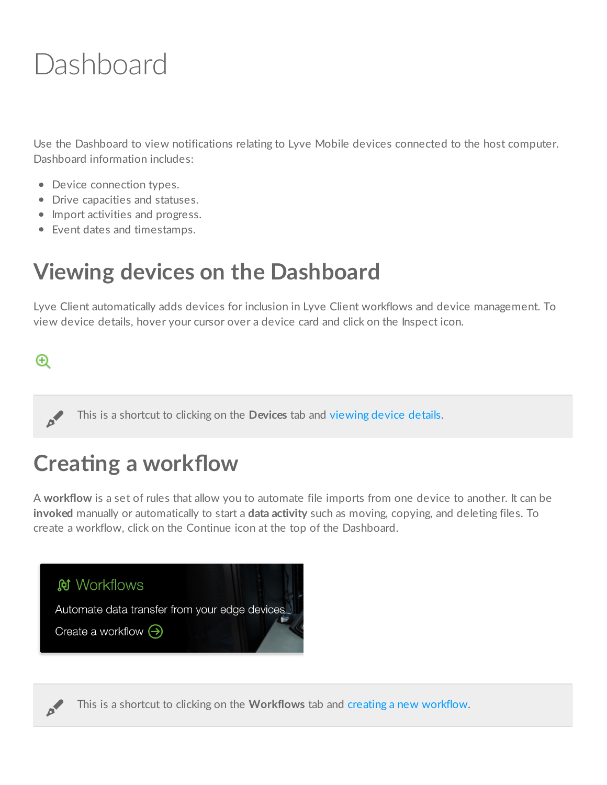## <span id="page-7-0"></span>Dashboard

Use the Dashboard to view notifications relating to Lyve Mobile devices connected to the host computer. Dashboard information includes:

- Device connection types.
- Drive capacities and statuses.
- Import activities and progress.
- Event dates and timestamps.

### <span id="page-7-1"></span>**Viewing devices on the Dashboard**

Lyve Client automatically adds devices for inclusion in Lyve Client workflows and device management. To view device details, hover your cursor over a device card and click on the Inspect icon.

#### $^{\circ}$

This is <sup>a</sup> shortcut to clicking on the **Devices** tab and [viewing](https://www.seagate.com/manuals/software/lyve-client-software/devices/#device-details) device details.

## <span id="page-7-2"></span>**Creating a workflow**

A **workflow** is a set of rules that allow you to automate file imports from one device to another. It can be **invoked** manually or automatically to start a **data activity** such as moving, copying, and deleting files. To create a workflow, click on the Continue icon at the top of the Dashboard.



This is a shortcut to clicking on the **Workflows** tab and creating a new [workflow](https://www.seagate.com/manuals/software/lyve-client-software/workflows/#create-workflow).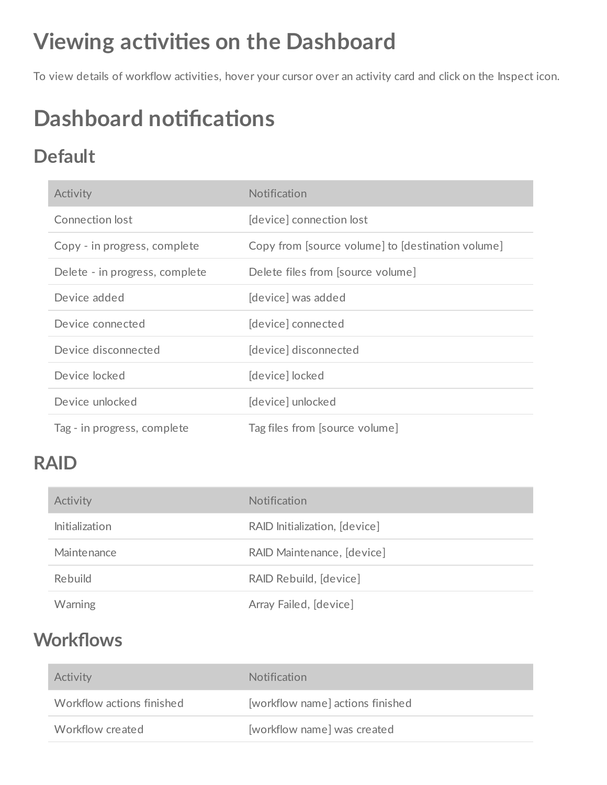## <span id="page-8-0"></span>**Viewing activities on the Dashboard**

To view details of workflow activities, hover your cursor over an activity card and click on the Inspect icon.

## <span id="page-8-1"></span>**Dashboard notifications**

#### <span id="page-8-2"></span>**Default**

| Activity                       | Notification                                      |
|--------------------------------|---------------------------------------------------|
| Connection lost                | [device] connection lost                          |
| Copy - in progress, complete   | Copy from [source volume] to [destination volume] |
| Delete - in progress, complete | Delete files from [source volume]                 |
| Device added                   | [device] was added                                |
| Device connected               | device connected                                  |
| Device disconnected            | [device] disconnected                             |
| Device locked                  | [device] locked                                   |
| Device unlocked                | [device] unlocked                                 |
| Tag - in progress, complete    | Tag files from [source volume]                    |

#### <span id="page-8-3"></span>**RAID**

| Activity              | <b>Notification</b>           |
|-----------------------|-------------------------------|
| <b>Initialization</b> | RAID Initialization, [device] |
| Maintenance           | RAID Maintenance, [device]    |
| Rebuild               | RAID Rebuild, [device]        |
| <b>Warning</b>        | Array Failed, [device]        |

#### <span id="page-8-4"></span>**Workflows**

| Activity                  | <b>Notification</b>              |
|---------------------------|----------------------------------|
| Workflow actions finished | [workflow name] actions finished |
| Workflow created          | [workflow name] was created      |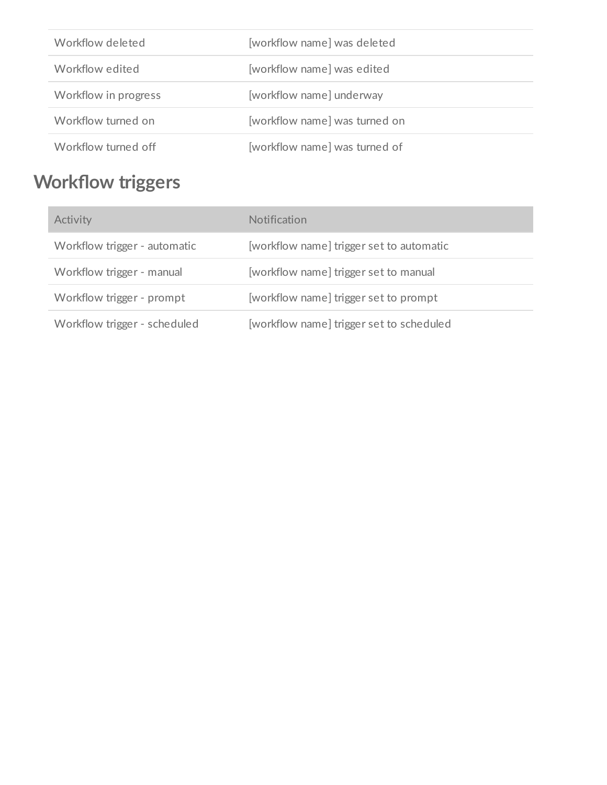| Workflow deleted     | [workflow name] was deleted   |
|----------------------|-------------------------------|
| Workflow edited      | [workflow name] was edited    |
| Workflow in progress | [workflow name] underway      |
| Workflow turned on   | [workflow name] was turned on |
| Workflow turned off  | [workflow name] was turned of |

### <span id="page-9-0"></span>**Workflow triggers**

| Activity                     | Notification                             |
|------------------------------|------------------------------------------|
| Workflow trigger - automatic | [workflow name] trigger set to automatic |
| Workflow trigger - manual    | [workflow name] trigger set to manual    |
| Workflow trigger - prompt    | [workflow name] trigger set to prompt    |
| Workflow trigger - scheduled | [workflow name] trigger set to scheduled |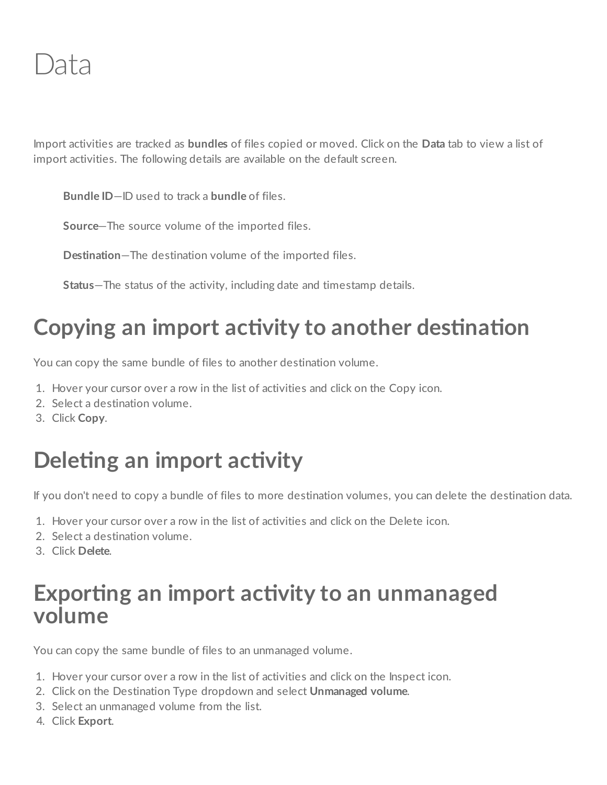<span id="page-10-0"></span>Import activities are tracked as **bundles** of files copied or moved. Click on the **Data** tab to view a list of import activities. The following details are available on the default screen.

**Bundle ID**—ID used to track a **bundle** of files.

**Source**—The source volume of the imported files.

**Destination**—The destination volume of the imported files.

**Status**—The status of the activity, including date and timestamp details.

## <span id="page-10-1"></span>**Copying an import activity to another destination**

You can copy the same bundle of files to another destination volume.

- 1. Hover your cursor over a row in the list of activities and click on the Copy icon.
- 2. Select a destination volume.
- 3. Click **Copy**.

## <span id="page-10-2"></span>**Deleting an import activity**

If you don't need to copy a bundle of files to more destination volumes, you can delete the destination data.

- 1. Hover your cursor over a row in the list of activities and click on the Delete icon.
- 2. Select a destination volume.
- 3. Click **Delete**.

#### <span id="page-10-3"></span>**Exporting an import activity to an unmanaged volume**

You can copy the same bundle of files to an unmanaged volume.

- 1. Hover your cursor over a row in the list of activities and click on the Inspect icon.
- 2. Click on the Destination Type dropdown and select **Unmanaged volume**.
- 3. Select an unmanaged volume from the list.
- 4. Click **Export**.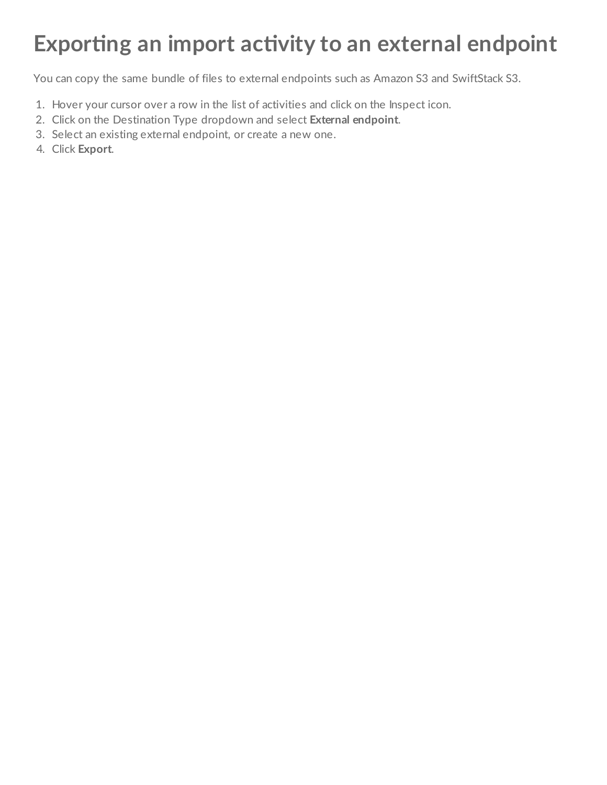## <span id="page-11-0"></span>**Exporting an import activity to an external endpoint**

You can copy the same bundle of files to external endpoints such as Amazon S3 and SwiftStack S3.

- 1. Hover your cursor over a row in the list of activities and click on the Inspect icon.
- 2. Click on the Destination Type dropdown and select **External endpoint**.
- 3. Select an existing external endpoint, or create a new one.
- 4. Click **Export**.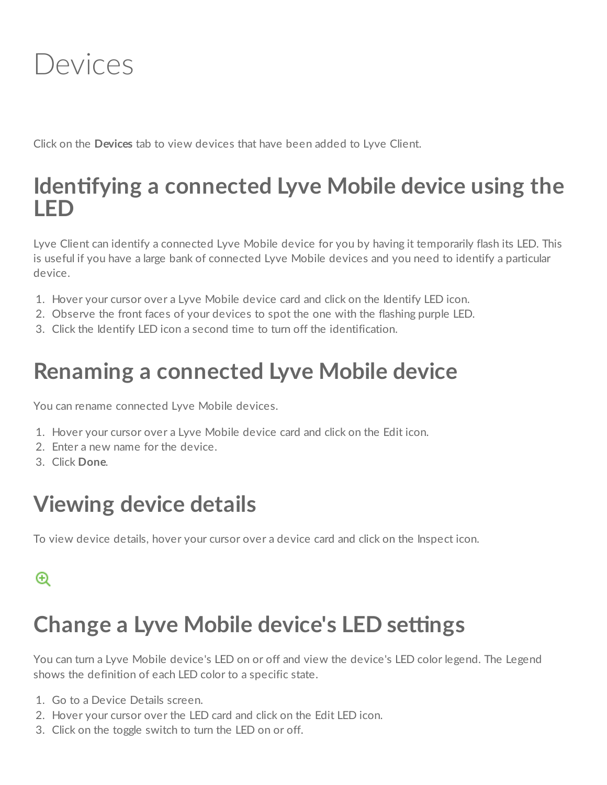<span id="page-12-0"></span>

Click on the **Devices** tab to view devices that have been added to Lyve Client.

#### <span id="page-12-1"></span>**Identifying a connected Lyve Mobile device using the LED**

Lyve Client can identify a connected Lyve Mobile device for you by having it temporarily flash its LED. This is useful if you have a large bank of connected Lyve Mobile devices and you need to identify a particular device.

- 1. Hover your cursor over a Lyve Mobile device card and click on the Identify LED icon.
- 2. Observe the front faces of your devices to spot the one with the flashing purple LED.
- 3. Click the Identify LED icon a second time to turn off the identification.

### <span id="page-12-2"></span>**Renaming a connected Lyve Mobile device**

You can rename connected Lyve Mobile devices.

- 1. Hover your cursor over a Lyve Mobile device card and click on the Edit icon.
- 2. Enter a new name for the device.
- 3. Click **Done**.

### <span id="page-12-3"></span>**Viewing device details**

To view device details, hover your cursor over a device card and click on the Inspect icon.

#### $^{\circledR}$

### <span id="page-12-4"></span>*Change a Lyve Mobile device's LED settings*

You can turn a Lyve Mobile device's LED on or off and view the device's LED color legend. The Legend shows the definition of each LED color to a specific state.

- 1. Go to a Device Details screen.
- 2. Hover your cursor over the LED card and click on the Edit LED icon.
- 3. Click on the toggle switch to turn the LED on or off.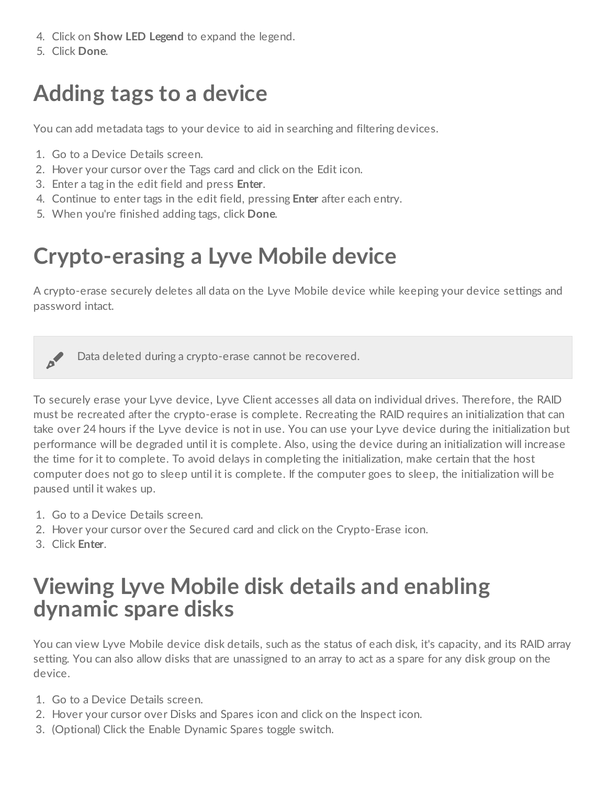- 4. Click on **Show LED Legend** to expand the legend.
- 5. Click **Done**.

## <span id="page-13-0"></span>**Adding tags to a device**

You can add metadata tags to your device to aid in searching and filtering devices.

- 1. Go to a Device Details screen.
- 2. Hover your cursor over the Tags card and click on the Edit icon.
- 3. Enter a tag in the edit field and press **Enter**.
- 4. Continue to enter tags in the edit field, pressing **Enter** after each entry.
- 5. When you're finished adding tags, click **Done**.

## <span id="page-13-1"></span>**Crypto-erasing a Lyve Mobile device**

A crypto-erase securely deletes all data on the Lyve Mobile device while keeping your device settings and password intact.

Data deleted during <sup>a</sup> crypto-erase cannot be recovered.

To securely erase your Lyve device, Lyve Client accesses all data on individual drives. Therefore, the RAID must be recreated after the crypto-erase is complete. Recreating the RAID requires an initialization that can take over 24 hours if the Lyve device is not in use. You can use your Lyve device during the initialization but performance will be degraded until it is complete. Also, using the device during an initialization will increase the time for it to complete. To avoid delays in completing the initialization, make certain that the host computer does not go to sleep until it is complete. If the computer goes to sleep, the initialization will be paused until it wakes up.

- 1. Go to a Device Details screen.
- 2. Hover your cursor over the Secured card and click on the Crypto-Erase icon.
- 3. Click **Enter**.

#### <span id="page-13-2"></span>**Viewing Lyve Mobile disk details and enabling dynamic spare disks**

You can view Lyve Mobile device disk details, such as the status of each disk, it's capacity, and its RAID array setting. You can also allow disks that are unassigned to an array to act as a spare for any disk group on the device.

- 1. Go to a Device Details screen.
- 2. Hover your cursor over Disks and Spares icon and click on the Inspect icon.
- 3. (Optional) Click the Enable Dynamic Spares toggle switch.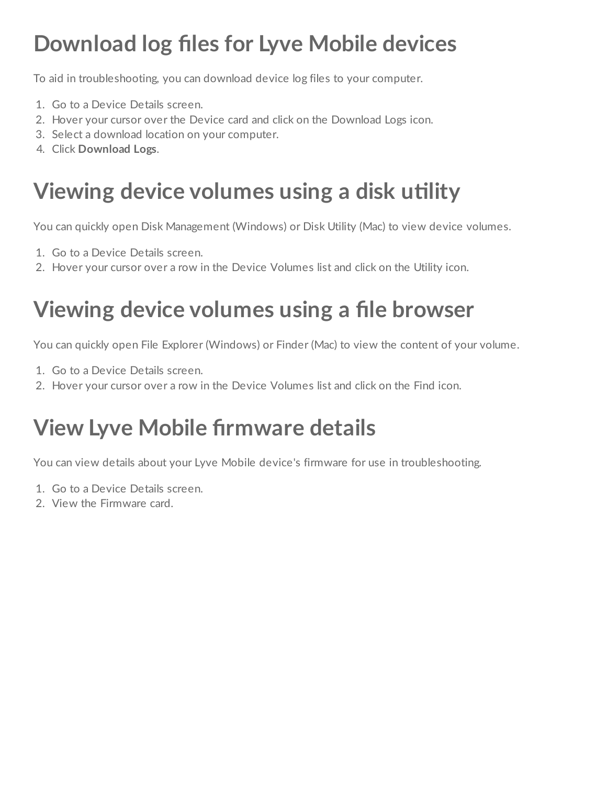## <span id="page-14-0"></span>**Download log files for Lyve Mobile devices**

To aid in troubleshooting, you can download device log files to your computer.

- 1. Go to a Device Details screen.
- 2. Hover your cursor over the Device card and click on the Download Logs icon.
- 3. Select a download location on your computer.
- 4. Click **Download Logs**.

## <span id="page-14-1"></span>**Viewing** device volumes using a disk utility

You can quickly open Disk Management (Windows) or Disk Utility (Mac) to view device volumes.

- 1. Go to a Device Details screen.
- 2. Hover your cursor over a row in the Device Volumes list and click on the Utility icon.

## <span id="page-14-2"></span>**Viewing device volumes using a file browser**

You can quickly open File Explorer (Windows) or Finder (Mac) to view the content of your volume.

- 1. Go to a Device Details screen.
- 2. Hover your cursor over a row in the Device Volumes list and click on the Find icon.

## <span id="page-14-3"></span>**View Lyve Mobile firmware details**

You can view details about your Lyve Mobile device's firmware for use in troubleshooting.

- 1. Go to a Device Details screen.
- 2. View the Firmware card.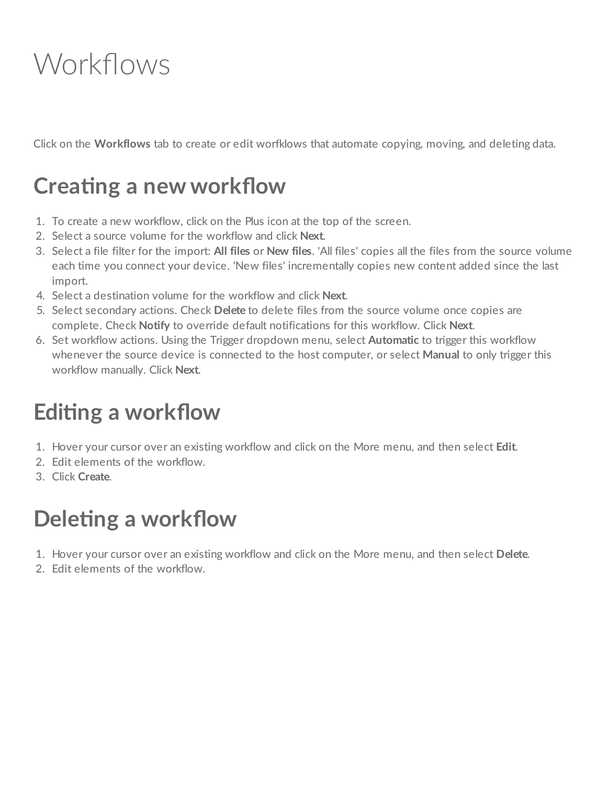## <span id="page-15-0"></span>Workflows

Click on the **Workflows** tab to create or edit worfklows that automate copying, moving, and deleting data.

## <span id="page-15-1"></span>**Creating a new workflow**

- 1. To create a new workflow, click on the Plus icon at the top of the screen.
- 2. Select a source volume for the workflow and click **Next**.
- 3. Select a file filter for the import: **All files** or **New files**. 'All files' copies all the files from the source volume each time you connect your device. 'New files' incrementally copies new content added since the last import.
- 4. Select a destination volume for the workflow and click **Next**.
- 5. Select secondary actions. Check **Delete** to delete files from the source volume once copies are complete. Check **Notify** to override default notifications for this workflow. Click **Next**.
- 6. Set workflow actions. Using the Trigger dropdown menu, select **Automatic** to trigger this workflow whenever the source device is connected to the host computer, or select **Manual** to only trigger this workflow manually. Click **Next**.

## <span id="page-15-2"></span>**Editing a workflow**

- 1. Hover your cursor over an existing workflow and click on the More menu, and then select **Edit**.
- 2. Edit elements of the workflow.
- 3. Click **Create**.

## <span id="page-15-3"></span>**Deleting** a workflow

- 1. Hover your cursor over an existing workflow and click on the More menu, and then select **Delete**.
- 2. Edit elements of the workflow.